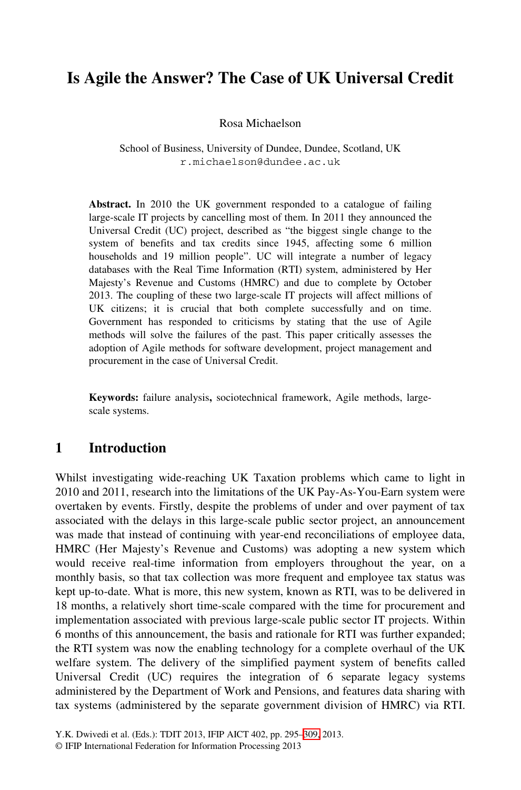# **Is Agile the Answer? The Case of UK Universal Credit**

Rosa Michaelson

School of Business, University of Dundee, Dundee, Scotland, UK r.michaelson@dundee.ac.uk

**Abstract.** In 2010 the UK government responded to a catalogue of failing large-scale IT projects by cancelling most of them. In 2011 they announced the Universal Credit (UC) project, described as "the biggest single change to the system of benefits and tax credits since 1945, affecting some 6 million households and 19 million people". UC will integrate a number of legacy databases with the Real Time Information (RTI) system, administered by Her Majesty's Revenue and Customs (HMRC) and due to complete by October 2013. The coupling of these two large-scale IT projects will affect millions of UK citizens; it is crucial that both complete successfully and on time. Government has responded to criticisms by stating that the use of Agile methods will solve the failures of the past. This paper critically assesses the adoption of Agile methods for software development, project management and procurement in the case of Universal Credit.

**Keywords:** failure analysis**,** sociotechnical framework, Agile methods, largescale systems.

#### **1 Introduction**

Whilst investigating wide-reaching UK Taxation problems which came to light in 2010 and 2011, research into the limitations of the UK Pay-As-You-Earn system were overtaken by events. Firstly, despite the problems of under and over payment of tax associated with the delays in this large-scale public sector project, an announcement was made that instead of continuing with year-end reconciliations of employee data, HMRC (Her Majesty's Revenue and Customs) was adopting a new system which would receive real-time information from employers throughout the year, on a monthly basis, so that tax collection was more frequent and employee tax status was kept up-to-date. What is more, this new system, known as RTI, was to be delivered in 18 months, a relatively short time-scale compared with the time for procurement and implementation associated with [prev](#page-14-0)ious large-scale public sector IT projects. Within 6 months of this announcement, the basis and rationale for RTI was further expanded; the RTI system was now the enabling technology for a complete overhaul of the UK welfare system. The delivery of the simplified payment system of benefits called Universal Credit (UC) requires the integration of 6 separate legacy systems administered by the Department of Work and Pensions, and features data sharing with tax systems (administered by the separate government division of HMRC) via RTI.

Y.K. Dwivedi et al. (Eds.): TDIT 2013, IFIP AICT 402, pp. 295–309, 2013.

© IFIP International Federation for Information Processing 2013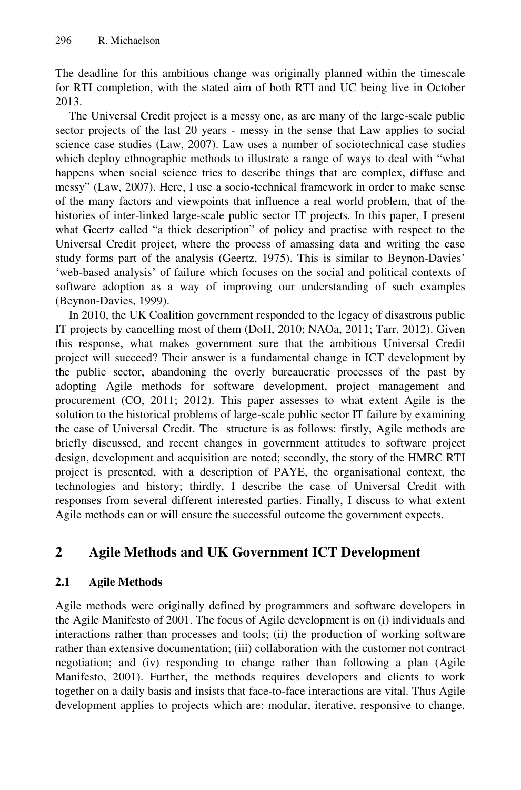The deadline for this ambitious change was originally planned within the timescale for RTI completion, with the stated aim of both RTI and UC being live in October 2013.

The Universal Credit project is a messy one, as are many of the large-scale public sector projects of the last 20 years - messy in the sense that Law applies to social science case studies (Law, 2007). Law uses a number of sociotechnical case studies which deploy ethnographic methods to illustrate a range of ways to deal with "what happens when social science tries to describe things that are complex, diffuse and messy" (Law, 2007). Here, I use a socio-technical framework in order to make sense of the many factors and viewpoints that influence a real world problem, that of the histories of inter-linked large-scale public sector IT projects. In this paper, I present what Geertz called "a thick description" of policy and practise with respect to the Universal Credit project, where the process of amassing data and writing the case study forms part of the analysis (Geertz, 1975). This is similar to Beynon-Davies' 'web-based analysis' of failure which focuses on the social and political contexts of software adoption as a way of improving our understanding of such examples (Beynon-Davies, 1999).

In 2010, the UK Coalition government responded to the legacy of disastrous public IT projects by cancelling most of them (DoH, 2010; NAOa, 2011; Tarr, 2012). Given this response, what makes government sure that the ambitious Universal Credit project will succeed? Their answer is a fundamental change in ICT development by the public sector, abandoning the overly bureaucratic processes of the past by adopting Agile methods for software development, project management and procurement (CO, 2011; 2012). This paper assesses to what extent Agile is the solution to the historical problems of large-scale public sector IT failure by examining the case of Universal Credit. The structure is as follows: firstly, Agile methods are briefly discussed, and recent changes in government attitudes to software project design, development and acquisition are noted; secondly, the story of the HMRC RTI project is presented, with a description of PAYE, the organisational context, the technologies and history; thirdly, I describe the case of Universal Credit with responses from several different interested parties. Finally, I discuss to what extent Agile methods can or will ensure the successful outcome the government expects.

# **2 Agile Methods and UK Government ICT Development**

## **2.1 Agile Methods**

Agile methods were originally defined by programmers and software developers in the Agile Manifesto of 2001. The focus of Agile development is on (i) individuals and interactions rather than processes and tools; (ii) the production of working software rather than extensive documentation; (iii) collaboration with the customer not contract negotiation; and (iv) responding to change rather than following a plan (Agile Manifesto, 2001). Further, the methods requires developers and clients to work together on a daily basis and insists that face-to-face interactions are vital. Thus Agile development applies to projects which are: modular, iterative, responsive to change,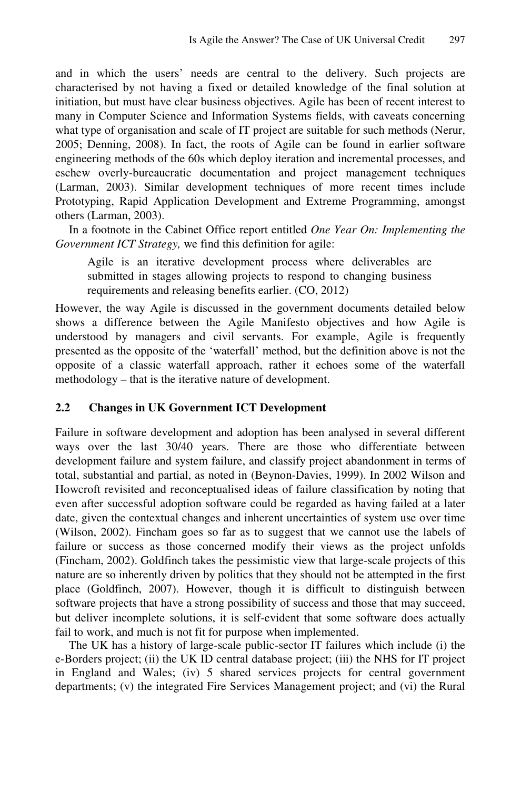and in which the users' needs are central to the delivery. Such projects are characterised by not having a fixed or detailed knowledge of the final solution at initiation, but must have clear business objectives. Agile has been of recent interest to many in Computer Science and Information Systems fields, with caveats concerning what type of organisation and scale of IT project are suitable for such methods (Nerur, 2005; Denning, 2008). In fact, the roots of Agile can be found in earlier software engineering methods of the 60s which deploy iteration and incremental processes, and eschew overly-bureaucratic documentation and project management techniques (Larman, 2003). Similar development techniques of more recent times include Prototyping, Rapid Application Development and Extreme Programming, amongst others (Larman, 2003).

In a footnote in the Cabinet Office report entitled *One Year On: Implementing the Government ICT Strategy,* we find this definition for agile:

Agile is an iterative development process where deliverables are submitted in stages allowing projects to respond to changing business requirements and releasing benefits earlier. (CO, 2012)

However, the way Agile is discussed in the government documents detailed below shows a difference between the Agile Manifesto objectives and how Agile is understood by managers and civil servants. For example, Agile is frequently presented as the opposite of the 'waterfall' method, but the definition above is not the opposite of a classic waterfall approach, rather it echoes some of the waterfall methodology – that is the iterative nature of development.

#### **2.2 Changes in UK Government ICT Development**

Failure in software development and adoption has been analysed in several different ways over the last 30/40 years. There are those who differentiate between development failure and system failure, and classify project abandonment in terms of total, substantial and partial, as noted in (Beynon-Davies, 1999). In 2002 Wilson and Howcroft revisited and reconceptualised ideas of failure classification by noting that even after successful adoption software could be regarded as having failed at a later date, given the contextual changes and inherent uncertainties of system use over time (Wilson, 2002). Fincham goes so far as to suggest that we cannot use the labels of failure or success as those concerned modify their views as the project unfolds (Fincham, 2002). Goldfinch takes the pessimistic view that large-scale projects of this nature are so inherently driven by politics that they should not be attempted in the first place (Goldfinch, 2007). However, though it is difficult to distinguish between software projects that have a strong possibility of success and those that may succeed, but deliver incomplete solutions, it is self-evident that some software does actually fail to work, and much is not fit for purpose when implemented.

The UK has a history of large-scale public-sector IT failures which include (i) the e-Borders project; (ii) the UK ID central database project; (iii) the NHS for IT project in England and Wales; (iv) 5 shared services projects for central government departments; (v) the integrated Fire Services Management project; and (vi) the Rural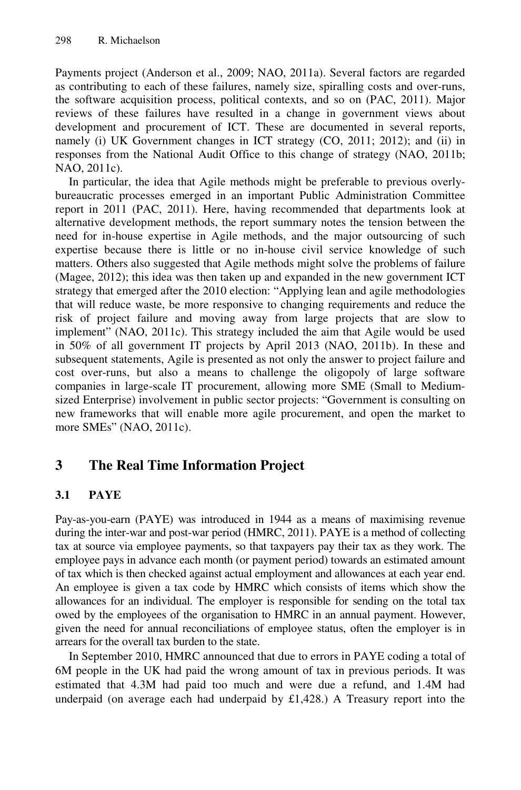Payments project (Anderson et al., 2009; NAO, 2011a). Several factors are regarded as contributing to each of these failures, namely size, spiralling costs and over-runs, the software acquisition process, political contexts, and so on (PAC, 2011). Major reviews of these failures have resulted in a change in government views about development and procurement of ICT. These are documented in several reports, namely (i) UK Government changes in ICT strategy (CO, 2011; 2012); and (ii) in responses from the National Audit Office to this change of strategy (NAO, 2011b; NAO, 2011c).

In particular, the idea that Agile methods might be preferable to previous overlybureaucratic processes emerged in an important Public Administration Committee report in 2011 (PAC, 2011). Here, having recommended that departments look at alternative development methods, the report summary notes the tension between the need for in-house expertise in Agile methods, and the major outsourcing of such expertise because there is little or no in-house civil service knowledge of such matters. Others also suggested that Agile methods might solve the problems of failure (Magee, 2012); this idea was then taken up and expanded in the new government ICT strategy that emerged after the 2010 election: "Applying lean and agile methodologies that will reduce waste, be more responsive to changing requirements and reduce the risk of project failure and moving away from large projects that are slow to implement" (NAO, 2011c). This strategy included the aim that Agile would be used in 50% of all government IT projects by April 2013 (NAO, 2011b). In these and subsequent statements, Agile is presented as not only the answer to project failure and cost over-runs, but also a means to challenge the oligopoly of large software companies in large-scale IT procurement, allowing more SME (Small to Mediumsized Enterprise) involvement in public sector projects: "Government is consulting on new frameworks that will enable more agile procurement, and open the market to more SMEs" (NAO, 2011c).

# **3 The Real Time Information Project**

## **3.1 PAYE**

Pay-as-you-earn (PAYE) was introduced in 1944 as a means of maximising revenue during the inter-war and post-war period (HMRC, 2011). PAYE is a method of collecting tax at source via employee payments, so that taxpayers pay their tax as they work. The employee pays in advance each month (or payment period) towards an estimated amount of tax which is then checked against actual employment and allowances at each year end. An employee is given a tax code by HMRC which consists of items which show the allowances for an individual. The employer is responsible for sending on the total tax owed by the employees of the organisation to HMRC in an annual payment. However, given the need for annual reconciliations of employee status, often the employer is in arrears for the overall tax burden to the state.

In September 2010, HMRC announced that due to errors in PAYE coding a total of 6M people in the UK had paid the wrong amount of tax in previous periods. It was estimated that 4.3M had paid too much and were due a refund, and 1.4M had underpaid (on average each had underpaid by  $£1,428$ .) A Treasury report into the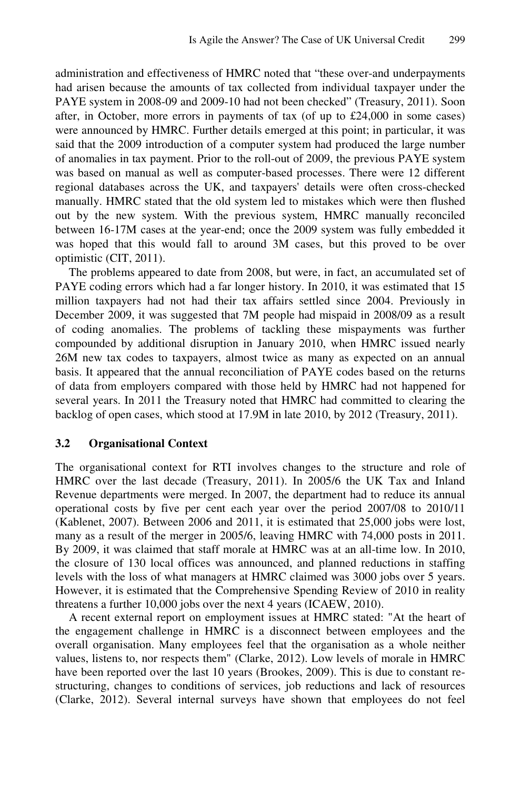administration and effectiveness of HMRC noted that "these over-and underpayments had arisen because the amounts of tax collected from individual taxpayer under the PAYE system in 2008-09 and 2009-10 had not been checked" (Treasury, 2011). Soon after, in October, more errors in payments of tax (of up to £24,000 in some cases) were announced by HMRC. Further details emerged at this point; in particular, it was said that the 2009 introduction of a computer system had produced the large number of anomalies in tax payment. Prior to the roll-out of 2009, the previous PAYE system was based on manual as well as computer-based processes. There were 12 different regional databases across the UK, and taxpayers' details were often cross-checked manually. HMRC stated that the old system led to mistakes which were then flushed out by the new system. With the previous system, HMRC manually reconciled between 16-17M cases at the year-end; once the 2009 system was fully embedded it was hoped that this would fall to around 3M cases, but this proved to be over optimistic (CIT, 2011).

The problems appeared to date from 2008, but were, in fact, an accumulated set of PAYE coding errors which had a far longer history. In 2010, it was estimated that 15 million taxpayers had not had their tax affairs settled since 2004. Previously in December 2009, it was suggested that 7M people had mispaid in 2008/09 as a result of coding anomalies. The problems of tackling these mispayments was further compounded by additional disruption in January 2010, when HMRC issued nearly 26M new tax codes to taxpayers, almost twice as many as expected on an annual basis. It appeared that the annual reconciliation of PAYE codes based on the returns of data from employers compared with those held by HMRC had not happened for several years. In 2011 the Treasury noted that HMRC had committed to clearing the backlog of open cases, which stood at 17.9M in late 2010, by 2012 (Treasury, 2011).

#### **3.2 Organisational Context**

The organisational context for RTI involves changes to the structure and role of HMRC over the last decade (Treasury, 2011). In 2005/6 the UK Tax and Inland Revenue departments were merged. In 2007, the department had to reduce its annual operational costs by five per cent each year over the period 2007/08 to 2010/11 (Kablenet, 2007). Between 2006 and 2011, it is estimated that 25,000 jobs were lost, many as a result of the merger in 2005/6, leaving HMRC with 74,000 posts in 2011. By 2009, it was claimed that staff morale at HMRC was at an all-time low. In 2010, the closure of 130 local offices was announced, and planned reductions in staffing levels with the loss of what managers at HMRC claimed was 3000 jobs over 5 years. However, it is estimated that the Comprehensive Spending Review of 2010 in reality threatens a further 10,000 jobs over the next 4 years (ICAEW, 2010).

A recent external report on employment issues at HMRC stated: "At the heart of the engagement challenge in HMRC is a disconnect between employees and the overall organisation. Many employees feel that the organisation as a whole neither values, listens to, nor respects them" (Clarke, 2012). Low levels of morale in HMRC have been reported over the last 10 years (Brookes, 2009). This is due to constant restructuring, changes to conditions of services, job reductions and lack of resources (Clarke, 2012). Several internal surveys have shown that employees do not feel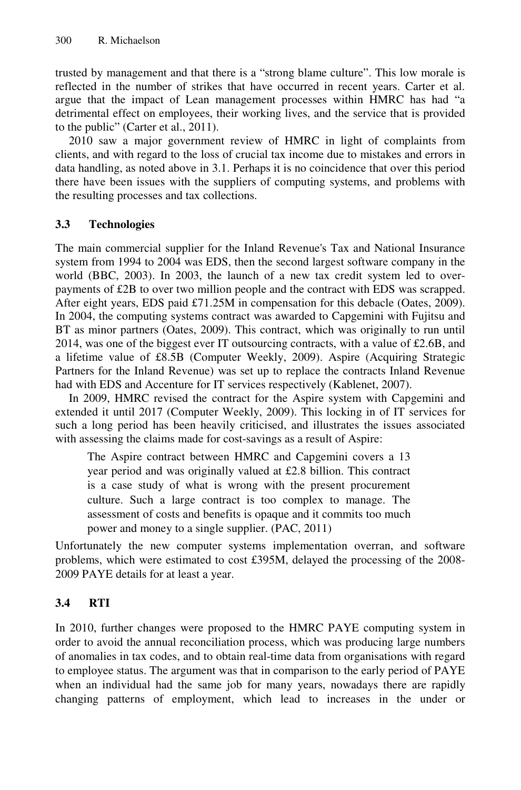trusted by management and that there is a "strong blame culture". This low morale is reflected in the number of strikes that have occurred in recent years. Carter et al. argue that the impact of Lean management processes within HMRC has had "a detrimental effect on employees, their working lives, and the service that is provided to the public" (Carter et al., 2011).

2010 saw a major government review of HMRC in light of complaints from clients, and with regard to the loss of crucial tax income due to mistakes and errors in data handling, as noted above in 3.1. Perhaps it is no coincidence that over this period there have been issues with the suppliers of computing systems, and problems with the resulting processes and tax collections.

## **3.3 Technologies**

The main commercial supplier for the Inland Revenue's Tax and National Insurance system from 1994 to 2004 was EDS, then the second largest software company in the world (BBC, 2003). In 2003, the launch of a new tax credit system led to overpayments of £2B to over two million people and the contract with EDS was scrapped. After eight years, EDS paid £71.25M in compensation for this debacle (Oates, 2009). In 2004, the computing systems contract was awarded to Capgemini with Fujitsu and BT as minor partners (Oates, 2009). This contract, which was originally to run until 2014, was one of the biggest ever IT outsourcing contracts, with a value of £2.6B, and a lifetime value of £8.5B (Computer Weekly, 2009). Aspire (Acquiring Strategic Partners for the Inland Revenue) was set up to replace the contracts Inland Revenue had with EDS and Accenture for IT services respectively (Kablenet, 2007).

In 2009, HMRC revised the contract for the Aspire system with Capgemini and extended it until 2017 (Computer Weekly, 2009). This locking in of IT services for such a long period has been heavily criticised, and illustrates the issues associated with assessing the claims made for cost-savings as a result of Aspire:

The Aspire contract between HMRC and Capgemini covers a 13 year period and was originally valued at £2.8 billion. This contract is a case study of what is wrong with the present procurement culture. Such a large contract is too complex to manage. The assessment of costs and benefits is opaque and it commits too much power and money to a single supplier. (PAC, 2011)

Unfortunately the new computer systems implementation overran, and software problems, which were estimated to cost £395M, delayed the processing of the 2008- 2009 PAYE details for at least a year.

## **3.4 RTI**

In 2010, further changes were proposed to the HMRC PAYE computing system in order to avoid the annual reconciliation process, which was producing large numbers of anomalies in tax codes, and to obtain real-time data from organisations with regard to employee status. The argument was that in comparison to the early period of PAYE when an individual had the same job for many years, nowadays there are rapidly changing patterns of employment, which lead to increases in the under or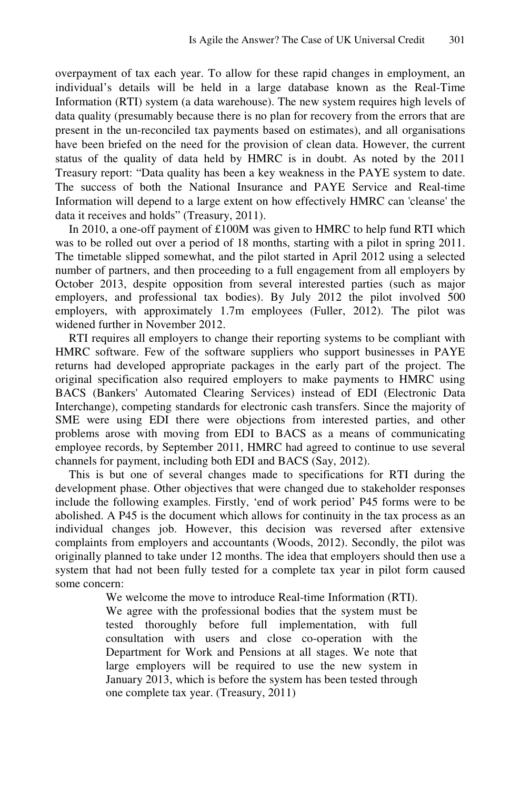overpayment of tax each year. To allow for these rapid changes in employment, an individual's details will be held in a large database known as the Real-Time Information (RTI) system (a data warehouse). The new system requires high levels of data quality (presumably because there is no plan for recovery from the errors that are present in the un-reconciled tax payments based on estimates), and all organisations have been briefed on the need for the provision of clean data. However, the current status of the quality of data held by HMRC is in doubt. As noted by the 2011 Treasury report: "Data quality has been a key weakness in the PAYE system to date. The success of both the National Insurance and PAYE Service and Real-time Information will depend to a large extent on how effectively HMRC can 'cleanse' the data it receives and holds" (Treasury, 2011).

In 2010, a one-off payment of £100M was given to HMRC to help fund RTI which was to be rolled out over a period of 18 months, starting with a pilot in spring 2011. The timetable slipped somewhat, and the pilot started in April 2012 using a selected number of partners, and then proceeding to a full engagement from all employers by October 2013, despite opposition from several interested parties (such as major employers, and professional tax bodies). By July 2012 the pilot involved 500 employers, with approximately 1.7m employees (Fuller, 2012). The pilot was widened further in November 2012.

RTI requires all employers to change their reporting systems to be compliant with HMRC software. Few of the software suppliers who support businesses in PAYE returns had developed appropriate packages in the early part of the project. The original specification also required employers to make payments to HMRC using BACS (Bankers' Automated Clearing Services) instead of EDI (Electronic Data Interchange), competing standards for electronic cash transfers. Since the majority of SME were using EDI there were objections from interested parties, and other problems arose with moving from EDI to BACS as a means of communicating employee records, by September 2011, HMRC had agreed to continue to use several channels for payment, including both EDI and BACS (Say, 2012).

This is but one of several changes made to specifications for RTI during the development phase. Other objectives that were changed due to stakeholder responses include the following examples. Firstly, 'end of work period' P45 forms were to be abolished. A P45 is the document which allows for continuity in the tax process as an individual changes job. However, this decision was reversed after extensive complaints from employers and accountants (Woods, 2012). Secondly, the pilot was originally planned to take under 12 months. The idea that employers should then use a system that had not been fully tested for a complete tax year in pilot form caused some concern:

We welcome the move to introduce Real-time Information (RTI).

We agree with the professional bodies that the system must be tested thoroughly before full implementation, with full consultation with users and close co-operation with the Department for Work and Pensions at all stages. We note that large employers will be required to use the new system in January 2013, which is before the system has been tested through one complete tax year. (Treasury, 2011)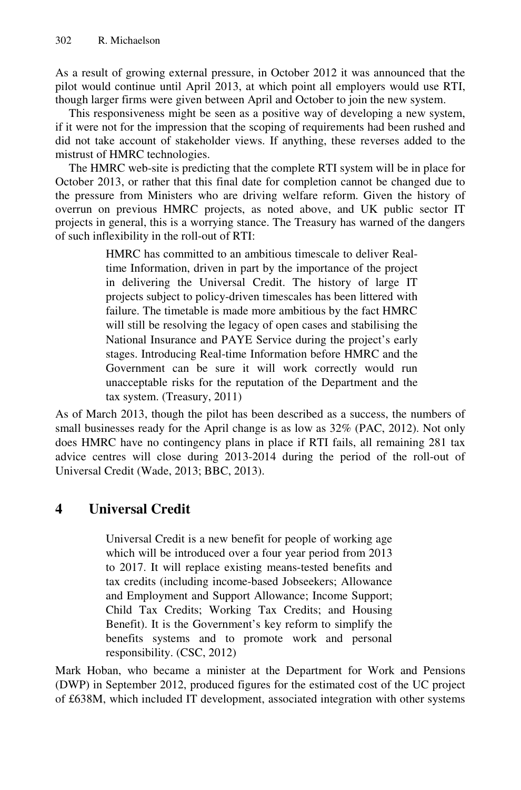As a result of growing external pressure, in October 2012 it was announced that the pilot would continue until April 2013, at which point all employers would use RTI, though larger firms were given between April and October to join the new system.

This responsiveness might be seen as a positive way of developing a new system, if it were not for the impression that the scoping of requirements had been rushed and did not take account of stakeholder views. If anything, these reverses added to the mistrust of HMRC technologies.

The HMRC web-site is predicting that the complete RTI system will be in place for October 2013, or rather that this final date for completion cannot be changed due to the pressure from Ministers who are driving welfare reform. Given the history of overrun on previous HMRC projects, as noted above, and UK public sector IT projects in general, this is a worrying stance. The Treasury has warned of the dangers of such inflexibility in the roll-out of RTI:

> HMRC has committed to an ambitious timescale to deliver Realtime Information, driven in part by the importance of the project in delivering the Universal Credit. The history of large IT projects subject to policy-driven timescales has been littered with failure. The timetable is made more ambitious by the fact HMRC will still be resolving the legacy of open cases and stabilising the National Insurance and PAYE Service during the project's early stages. Introducing Real-time Information before HMRC and the Government can be sure it will work correctly would run unacceptable risks for the reputation of the Department and the tax system. (Treasury, 2011)

As of March 2013, though the pilot has been described as a success, the numbers of small businesses ready for the April change is as low as 32% (PAC, 2012). Not only does HMRC have no contingency plans in place if RTI fails, all remaining 281 tax advice centres will close during 2013-2014 during the period of the roll-out of Universal Credit (Wade, 2013; BBC, 2013).

# **4 Universal Credit**

Universal Credit is a new benefit for people of working age which will be introduced over a four year period from 2013 to 2017. It will replace existing means-tested benefits and tax credits (including income-based Jobseekers; Allowance and Employment and Support Allowance; Income Support; Child Tax Credits; Working Tax Credits; and Housing Benefit). It is the Government's key reform to simplify the benefits systems and to promote work and personal responsibility. (CSC, 2012)

Mark Hoban, who became a minister at the Department for Work and Pensions (DWP) in September 2012, produced figures for the estimated cost of the UC project of £638M, which included IT development, associated integration with other systems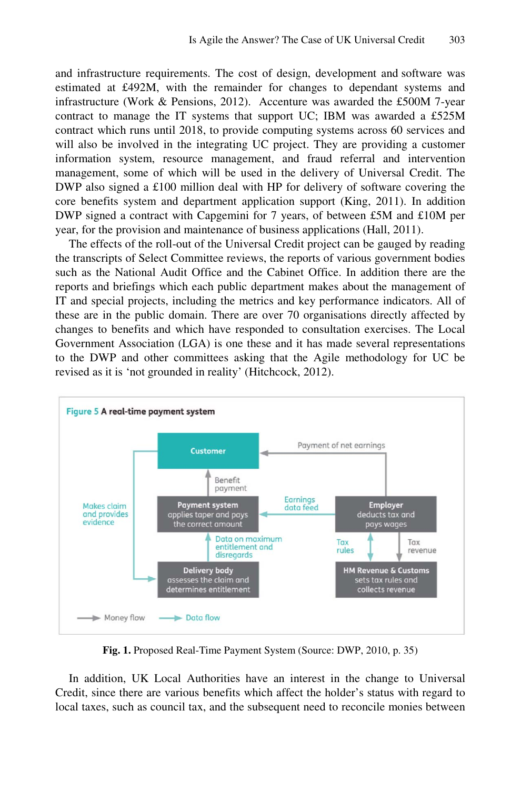and infrastructure requirements. The cost of design, development and software was estimated at £492M, with the remainder for changes to dependant systems and infrastructure (Work & Pensions, 2012). Accenture was awarded the £500M 7-year contract to manage the IT systems that support UC; IBM was awarded a £525M contract which runs until 2018, to provide computing systems across 60 services and will also be involved in the integrating UC project. They are providing a customer information system, resource management, and fraud referral and intervention management, some of which will be used in the delivery of Universal Credit. The DWP also signed a £100 million deal with HP for delivery of software covering the core benefits system and department application support (King, 2011). In addition DWP signed a contract with Capgemini for 7 years, of between £5M and £10M per year, for the provision and maintenance of business applications (Hall, 2011).

The effects of the roll-out of the Universal Credit project can be gauged by reading the transcripts of Select Committee reviews, the reports of various government bodies such as the National Audit Office and the Cabinet Office. In addition there are the reports and briefings which each public department makes about the management of IT and special projects, including the metrics and key performance indicators. All of these are in the public domain. There are over 70 organisations directly affected by changes to benefits and which have responded to consultation exercises. The Local Government Association (LGA) is one these and it has made several representations to the DWP and other committees asking that the Agile methodology for UC be revised as it is 'not grounded in reality' (Hitchcock, 2012).



**Fig. 1.** Proposed Real-Time Payment System (Source: DWP, 2010, p. 35)

In addition, UK Local Authorities have an interest in the change to Universal Credit, since there are various benefits which affect the holder's status with regard to local taxes, such as council tax, and the subsequent need to reconcile monies between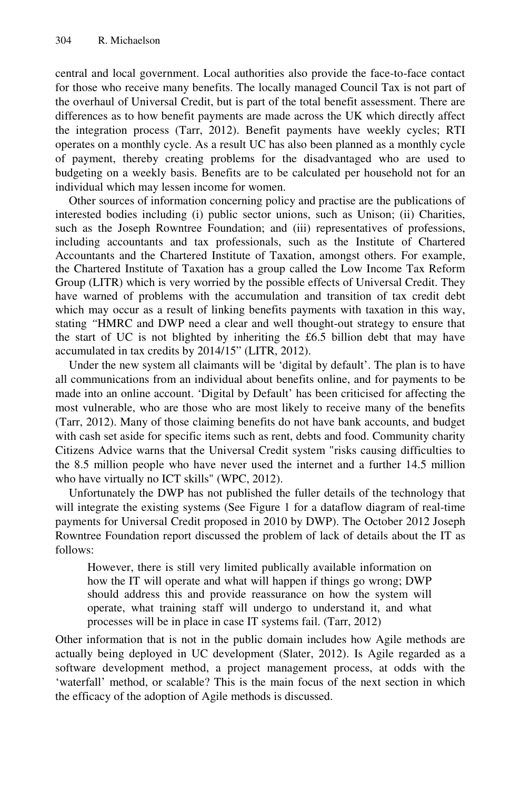central and local government. Local authorities also provide the face-to-face contact for those who receive many benefits. The locally managed Council Tax is not part of the overhaul of Universal Credit, but is part of the total benefit assessment. There are differences as to how benefit payments are made across the UK which directly affect the integration process (Tarr, 2012). Benefit payments have weekly cycles; RTI operates on a monthly cycle. As a result UC has also been planned as a monthly cycle of payment, thereby creating problems for the disadvantaged who are used to budgeting on a weekly basis. Benefits are to be calculated per household not for an individual which may lessen income for women.

Other sources of information concerning policy and practise are the publications of interested bodies including (i) public sector unions, such as Unison; (ii) Charities, such as the Joseph Rowntree Foundation; and (iii) representatives of professions, including accountants and tax professionals, such as the Institute of Chartered Accountants and the Chartered Institute of Taxation, amongst others. For example, the Chartered Institute of Taxation has a group called the Low Income Tax Reform Group (LITR) which is very worried by the possible effects of Universal Credit. They have warned of problems with the accumulation and transition of tax credit debt which may occur as a result of linking benefits payments with taxation in this way, stating *"*HMRC and DWP need a clear and well thought-out strategy to ensure that the start of UC is not blighted by inheriting the £6.5 billion debt that may have accumulated in tax credits by 2014/15" (LITR, 2012).

Under the new system all claimants will be 'digital by default'. The plan is to have all communications from an individual about benefits online, and for payments to be made into an online account. 'Digital by Default' has been criticised for affecting the most vulnerable, who are those who are most likely to receive many of the benefits (Tarr, 2012). Many of those claiming benefits do not have bank accounts, and budget with cash set aside for specific items such as rent, debts and food. Community charity Citizens Advice warns that the Universal Credit system "risks causing difficulties to the 8.5 million people who have never used the internet and a further 14.5 million who have virtually no ICT skills" (WPC, 2012).

Unfortunately the DWP has not published the fuller details of the technology that will integrate the existing systems (See Figure 1 for a dataflow diagram of real-time payments for Universal Credit proposed in 2010 by DWP). The October 2012 Joseph Rowntree Foundation report discussed the problem of lack of details about the IT as follows:

However, there is still very limited publically available information on how the IT will operate and what will happen if things go wrong; DWP should address this and provide reassurance on how the system will operate, what training staff will undergo to understand it, and what processes will be in place in case IT systems fail. (Tarr, 2012)

Other information that is not in the public domain includes how Agile methods are actually being deployed in UC development (Slater, 2012). Is Agile regarded as a software development method, a project management process, at odds with the 'waterfall' method, or scalable? This is the main focus of the next section in which the efficacy of the adoption of Agile methods is discussed.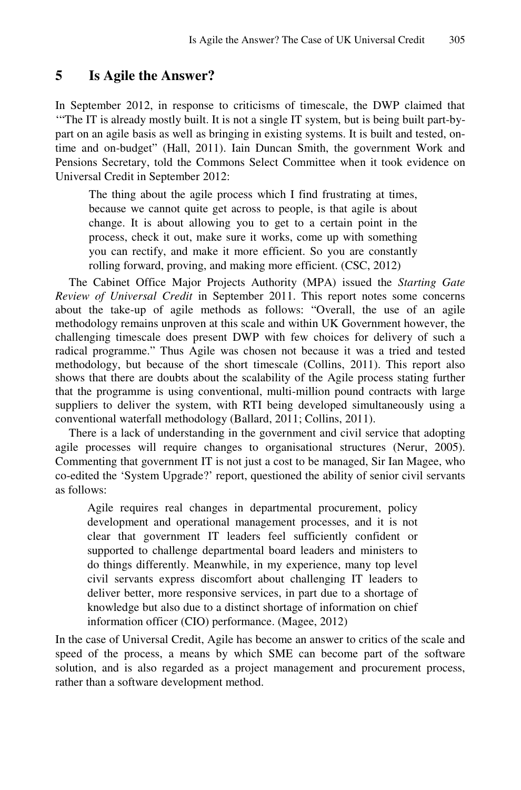## **5 Is Agile the Answer?**

In September 2012, in response to criticisms of timescale, the DWP claimed that '"The IT is already mostly built. It is not a single IT system, but is being built part-bypart on an agile basis as well as bringing in existing systems. It is built and tested, ontime and on-budget" (Hall, 2011). Iain Duncan Smith, the government Work and Pensions Secretary, told the Commons Select Committee when it took evidence on Universal Credit in September 2012:

The thing about the agile process which I find frustrating at times, because we cannot quite get across to people, is that agile is about change. It is about allowing you to get to a certain point in the process, check it out, make sure it works, come up with something you can rectify, and make it more efficient. So you are constantly rolling forward, proving, and making more efficient. (CSC, 2012)

The Cabinet Office Major Projects Authority (MPA) issued the *Starting Gate Review of Universal Credit* in September 2011. This report notes some concerns about the take-up of agile methods as follows: "Overall, the use of an agile methodology remains unproven at this scale and within UK Government however, the challenging timescale does present DWP with few choices for delivery of such a radical programme." Thus Agile was chosen not because it was a tried and tested methodology, but because of the short timescale (Collins, 2011). This report also shows that there are doubts about the scalability of the Agile process stating further that the programme is using conventional, multi-million pound contracts with large suppliers to deliver the system, with RTI being developed simultaneously using a conventional waterfall methodology (Ballard, 2011; Collins, 2011).

There is a lack of understanding in the government and civil service that adopting agile processes will require changes to organisational structures (Nerur, 2005). Commenting that government IT is not just a cost to be managed, Sir Ian Magee, who co-edited the 'System Upgrade?' report, questioned the ability of senior civil servants as follows:

Agile requires real changes in departmental procurement, policy development and operational management processes, and it is not clear that government IT leaders feel sufficiently confident or supported to challenge departmental board leaders and ministers to do things differently. Meanwhile, in my experience, many top level civil servants express discomfort about challenging IT leaders to deliver better, more responsive services, in part due to a shortage of knowledge but also due to a distinct shortage of information on chief information officer (CIO) performance. (Magee, 2012)

In the case of Universal Credit, Agile has become an answer to critics of the scale and speed of the process, a means by which SME can become part of the software solution, and is also regarded as a project management and procurement process, rather than a software development method.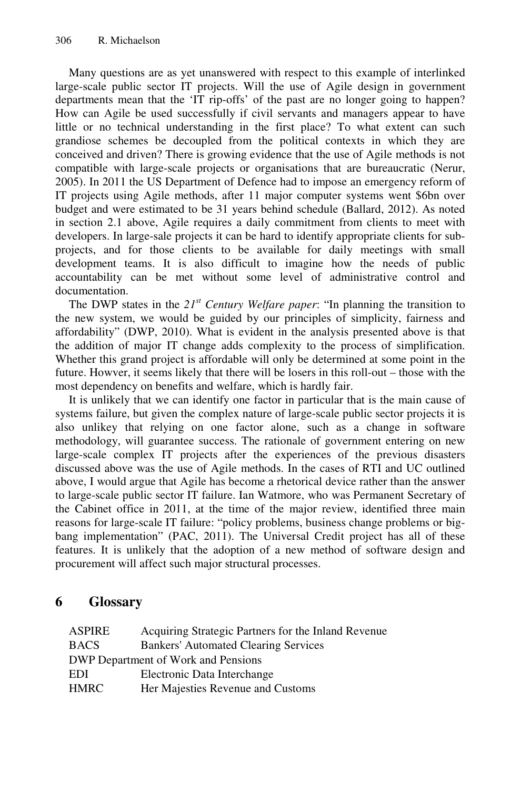Many questions are as yet unanswered with respect to this example of interlinked large-scale public sector IT projects. Will the use of Agile design in government departments mean that the 'IT rip-offs' of the past are no longer going to happen? How can Agile be used successfully if civil servants and managers appear to have little or no technical understanding in the first place? To what extent can such grandiose schemes be decoupled from the political contexts in which they are conceived and driven? There is growing evidence that the use of Agile methods is not compatible with large-scale projects or organisations that are bureaucratic (Nerur, 2005). In 2011 the US Department of Defence had to impose an emergency reform of IT projects using Agile methods, after 11 major computer systems went \$6bn over budget and were estimated to be 31 years behind schedule (Ballard, 2012). As noted in section 2.1 above, Agile requires a daily commitment from clients to meet with developers. In large-sale projects it can be hard to identify appropriate clients for subprojects, and for those clients to be available for daily meetings with small development teams. It is also difficult to imagine how the needs of public accountability can be met without some level of administrative control and documentation.

The DWP states in the  $21^{st}$  Century Welfare paper: "In planning the transition to the new system, we would be guided by our principles of simplicity, fairness and affordability" (DWP, 2010). What is evident in the analysis presented above is that the addition of major IT change adds complexity to the process of simplification. Whether this grand project is affordable will only be determined at some point in the future. Howver, it seems likely that there will be losers in this roll-out – those with the most dependency on benefits and welfare, which is hardly fair.

It is unlikely that we can identify one factor in particular that is the main cause of systems failure, but given the complex nature of large-scale public sector projects it is also unlikey that relying on one factor alone, such as a change in software methodology, will guarantee success. The rationale of government entering on new large-scale complex IT projects after the experiences of the previous disasters discussed above was the use of Agile methods. In the cases of RTI and UC outlined above, I would argue that Agile has become a rhetorical device rather than the answer to large-scale public sector IT failure. Ian Watmore, who was Permanent Secretary of the Cabinet office in 2011, at the time of the major review, identified three main reasons for large-scale IT failure: "policy problems, business change problems or bigbang implementation" (PAC, 2011). The Universal Credit project has all of these features. It is unlikely that the adoption of a new method of software design and procurement will affect such major structural processes.

## **6 Glossary**

| <b>ASPIRE</b>                       | Acquiring Strategic Partners for the Inland Revenue |
|-------------------------------------|-----------------------------------------------------|
| <b>BACS</b>                         | <b>Bankers' Automated Clearing Services</b>         |
| DWP Department of Work and Pensions |                                                     |
| EDI                                 | Electronic Data Interchange                         |
| <b>HMRC</b>                         | Her Majesties Revenue and Customs                   |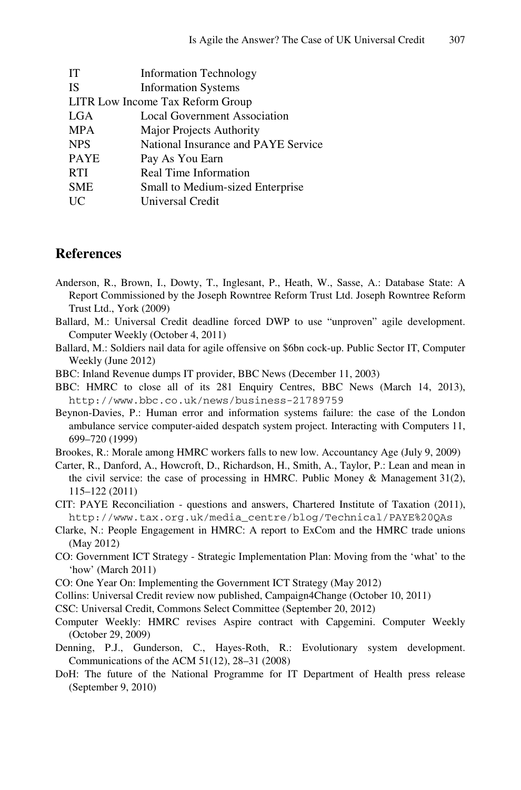| <b>Information Technology</b>       |  |
|-------------------------------------|--|
| <b>Information Systems</b>          |  |
| LITR Low Income Tax Reform Group    |  |
| <b>Local Government Association</b> |  |
| Major Projects Authority            |  |
| National Insurance and PAYE Service |  |
| Pay As You Earn                     |  |
| Real Time Information               |  |
| Small to Medium-sized Enterprise    |  |
| Universal Credit                    |  |
|                                     |  |

### **References**

- Anderson, R., Brown, I., Dowty, T., Inglesant, P., Heath, W., Sasse, A.: Database State: A Report Commissioned by the Joseph Rowntree Reform Trust Ltd. Joseph Rowntree Reform Trust Ltd., York (2009)
- Ballard, M.: Universal Credit deadline forced DWP to use "unproven" agile development. Computer Weekly (October 4, 2011)
- Ballard, M.: Soldiers nail data for agile offensive on \$6bn cock-up. Public Sector IT, Computer Weekly (June 2012)
- BBC: Inland Revenue dumps IT provider, BBC News (December 11, 2003)
- BBC: HMRC to close all of its 281 Enquiry Centres, BBC News (March 14, 2013), http://www.bbc.co.uk/news/business-21789759
- Beynon-Davies, P.: Human error and information systems failure: the case of the London ambulance service computer-aided despatch system project. Interacting with Computers 11, 699–720 (1999)
- Brookes, R.: Morale among HMRC workers falls to new low. Accountancy Age (July 9, 2009)
- Carter, R., Danford, A., Howcroft, D., Richardson, H., Smith, A., Taylor, P.: Lean and mean in the civil service: the case of processing in HMRC. Public Money & Management  $31(2)$ , 115–122 (2011)
- CIT: PAYE Reconciliation questions and answers, Chartered Institute of Taxation (2011), http://www.tax.org.uk/media\_centre/blog/Technical/PAYE%20QAs
- Clarke, N.: People Engagement in HMRC: A report to ExCom and the HMRC trade unions (May 2012)
- CO: Government ICT Strategy Strategic Implementation Plan: Moving from the 'what' to the 'how' (March 2011)
- CO: One Year On: Implementing the Government ICT Strategy (May 2012)
- Collins: Universal Credit review now published, Campaign4Change (October 10, 2011)
- CSC: Universal Credit, Commons Select Committee (September 20, 2012)
- Computer Weekly: HMRC revises Aspire contract with Capgemini. Computer Weekly (October 29, 2009)
- Denning, P.J., Gunderson, C., Hayes-Roth, R.: Evolutionary system development. Communications of the ACM 51(12), 28–31 (2008)
- DoH: The future of the National Programme for IT Department of Health press release (September 9, 2010)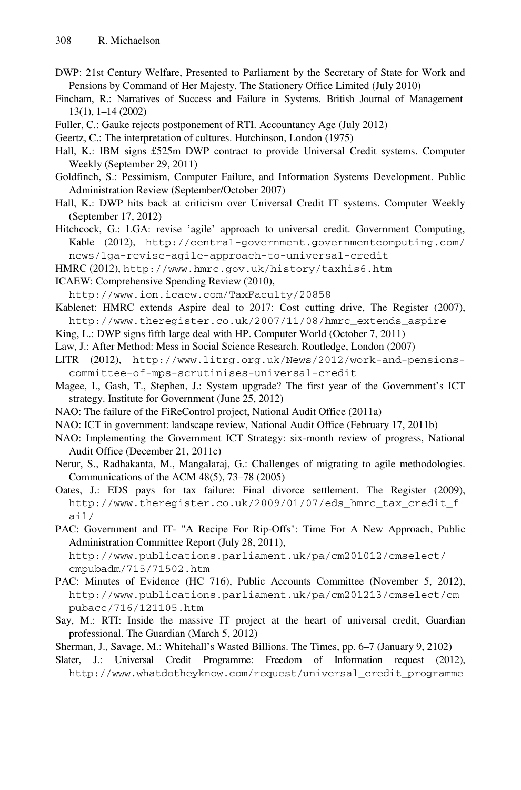- DWP: 21st Century Welfare, Presented to Parliament by the Secretary of State for Work and Pensions by Command of Her Majesty. The Stationery Office Limited (July 2010)
- Fincham, R.: Narratives of Success and Failure in Systems. British Journal of Management 13(1), 1–14 (2002)
- Fuller, C.: Gauke rejects postponement of RTI. Accountancy Age (July 2012)
- Geertz, C.: The interpretation of cultures. Hutchinson, London (1975)
- Hall, K.: IBM signs £525m DWP contract to provide Universal Credit systems. Computer Weekly (September 29, 2011)
- Goldfinch, S.: Pessimism, Computer Failure, and Information Systems Development. Public Administration Review (September/October 2007)
- Hall, K.: DWP hits back at criticism over Universal Credit IT systems. Computer Weekly (September 17, 2012)
- Hitchcock, G.: LGA: revise 'agile' approach to universal credit. Government Computing, Kable (2012), http://central-government.governmentcomputing.com/ news/lga-revise-agile-approach-to-universal-credit
- HMRC (2012), http://www.hmrc.gov.uk/history/taxhis6.htm

ICAEW: Comprehensive Spending Review (2010),

- http://www.ion.icaew.com/TaxFaculty/20858
- Kablenet: HMRC extends Aspire deal to 2017: Cost cutting drive, The Register (2007), http://www.theregister.co.uk/2007/11/08/hmrc\_extends\_aspire
- King, L.: DWP signs fifth large deal with HP. Computer World (October 7, 2011)
- Law, J.: After Method: Mess in Social Science Research. Routledge, London (2007)
- LITR (2012), http://www.litrg.org.uk/News/2012/work-and-pensionscommittee-of-mps-scrutinises-universal-credit
- Magee, I., Gash, T., Stephen, J.: System upgrade? The first year of the Government's ICT strategy. Institute for Government (June 25, 2012)
- NAO: The failure of the FiReControl project, National Audit Office (2011a)
- NAO: ICT in government: landscape review, National Audit Office (February 17, 2011b)
- NAO: Implementing the Government ICT Strategy: six-month review of progress, National Audit Office (December 21, 2011c)
- Nerur, S., Radhakanta, M., Mangalaraj, G.: Challenges of migrating to agile methodologies. Communications of the ACM 48(5), 73–78 (2005)
- Oates, J.: EDS pays for tax failure: Final divorce settlement. The Register (2009), http://www.theregister.co.uk/2009/01/07/eds\_hmrc\_tax\_credit\_f ail/
- PAC: Government and IT- "A Recipe For Rip-Offs": Time For A New Approach, Public Administration Committee Report (July 28, 2011), http://www.publications.parliament.uk/pa/cm201012/cmselect/ cmpubadm/715/71502.htm
- PAC: Minutes of Evidence (HC 716), Public Accounts Committee (November 5, 2012), http://www.publications.parliament.uk/pa/cm201213/cmselect/cm pubacc/716/121105.htm
- Say, M.: RTI: Inside the massive IT project at the heart of universal credit, Guardian professional. The Guardian (March 5, 2012)

Sherman, J., Savage, M.: Whitehall's Wasted Billions. The Times, pp. 6–7 (January 9, 2102)

Slater, J.: Universal Credit Programme: Freedom of Information request (2012), http://www.whatdotheyknow.com/request/universal\_credit\_programme